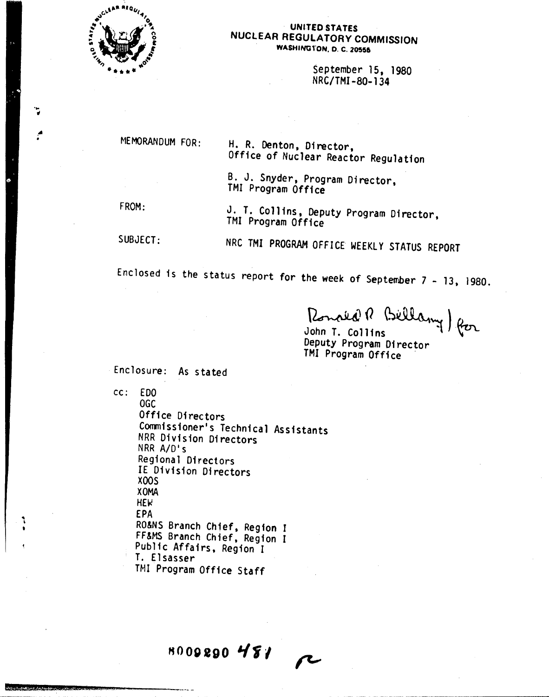

'.. oj

.~

'\ •

1••,\_\_m:.j!!I\_-.!II\_~i!~jk\_\_Jit:Ill!:2•.. I!'lIZ\_.••.•za:!!\!!!.. *"""e\_--\_\_*

#### UNITED STATES NUCLEAR REGULATORY COMMISSION WASHINGTON, D. C. 20555

September 15, 1980 NRC/TMI-80-134

• MEMORANDUM FOR:

H. R. Denton, Director, Office of Nuclear Reactor Regulation

B. J. Snyder, Program Director, TMI Program Office

FROM:

J. T. Collins, Deputy Program Director, TMI Program Office

SUBJECT:

NRC TMI PROGRAM OFFICE WEEKLY STATUS REPORT

Enclosed is the status report for the week of September  $7 - 13$ , 1980.

Romald R Billany) for

Deputy Program Director TM! Program Office .

Enclosure: As stated

*cc:* EDO

OGC Office Directors Commissioner's Technical Assistants NRR Division Directors NRR *AID's* Regional Directors IE Division Directors XOOS XOMA  $HEV$ EPA RO&NS Branch Chief, Region <sup>J</sup> FF&MS Branch Chief, Region I Public Affairs, Region I T. Elsasser TMJ Program Office Staff

**H000890** *I{fl*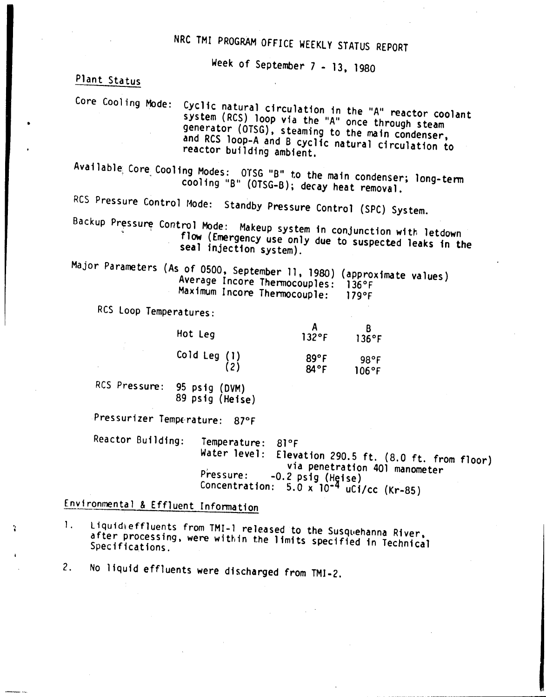# NRC TMI PROGRAM OFFICE WEEKLY STATUS REPORT

Week of September 7 - 13, 1980

Plant Status

Core Coo11ng Mode: Cyclic natural circulation in the "A" reactor coolant system (RCS) loop via the "A" once through steam generator (OTSG), steaming to the main condenser, and RCS loop-A and B cyclic natural circulation to reactor building ambient.

Available Core Cooling Modes: OTSG "B" to the main condenser; long-term cooling "B" (OTSG-B); decay heat removal.

RCS Pressure Control Mode: Standby Pressure Control (SPC) System.

Backup Pressure Control Mode: Makeup system in conjunction with letdown flow (Emergency use only due to suspected leaks in the seal injection system).

Major Parameters (As of 0500, September 11, 1980) (approximate values) Average Incore Thermocouples: 136°F Maximum Incore Thermocouple: 179°F

RCS loop Temperatures:

| Hot Leg                                                                          | $132$ °F     | 136°F                   |
|----------------------------------------------------------------------------------|--------------|-------------------------|
| $\begin{pmatrix} 0 & 1 & 1 \\ 0 & 1 & 1 \\ 0 & 0 & 0 \\ 0 & 0 & 0 \end{pmatrix}$ | 89°F<br>84°F | $98^{\circ}$ F<br>106°F |

RCS Pressure: 95 psig (DVM) 89 psig (Heise)

Pressurizer Temperature: 87°F

Reactor Building: Temperature: 81°F Water level: Elevation 290.5 ft. (8.0 ft. from floor) via penetration 401 manometer  $P$ ressure:  $-0.2$  psig (Heise) Concentration:  $5.0 \times 10^{-4}$  uCi/cc (Kr-85)

## Environmental & Effluent Information

" I 1. Liquidieffluents from TMI-1 released to the Susquehanna River, after processing, were within the limits specified in Technical<br>Specifications.

2. No liquid effluents were discharged from TMI-2.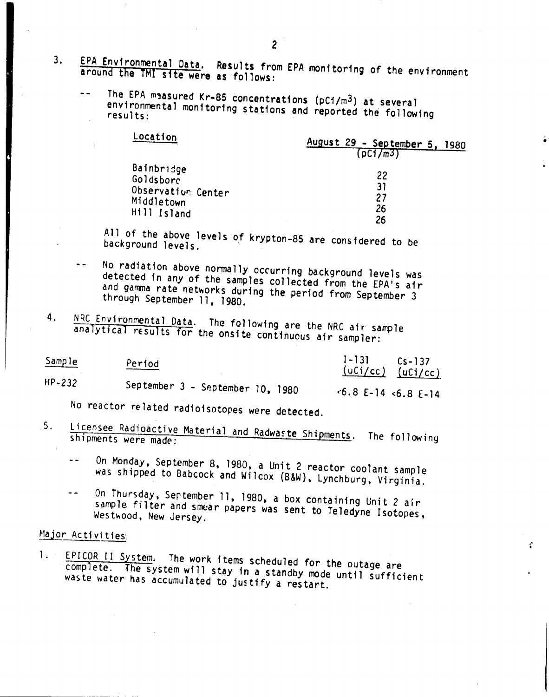- 3. EPA Environmental Data. Results from EPA monitoring of the environment around the 1MI site were as follows:
	- The EPA measured Kr-85 concentrations ( $pC1/m^3$ ) at several environmental monitoring stations and reported the following

| Location           | August 29 - September 5, 1980<br>$($ p $C17$ m $3$ T |
|--------------------|------------------------------------------------------|
| Bainbridge         | 22                                                   |
| Goldsborc          | 31                                                   |
| Observation Center | 27                                                   |
| Middletown         | 26                                                   |
| Hill Island        | 26                                                   |

.'

t'

All of the above levels of krypton-8S are considered to be background levels.

- No radiation above nonnally occurring background levels was detected in any of the samples collected from the EPA's air and gamma rate networks during the period from September 3 through September 11, 1980.
- 4. NRC Environmental Data. The following are the NRC air sample analytical results for the onsite continuous air sampler:

| Sample | Period                           | $I-131$<br>$Cs - 137$<br>$(uCi/cc)$ $(uCi/cc)$ |
|--------|----------------------------------|------------------------------------------------|
| HP-232 | September 3 - September 10, 1980 | $\leq 6.8$ E-14 $\leq 6.8$ E-14                |

No reactor related radioisotopes were detected.

- 5. Licensee Radioactive Material and Radwaste Shipments. The following
	- On Monday, September 8, 1980, a Unit 2 reactor coolant sample was shipped to Babcock and Wilcox (B&W), Lynchburg, Virginia.
	- On Thursday, Sertember 11, 1980, a box containing Unit 2 air  $\sim$   $\sim$ sample filter and smear papers was sent to Teledyne Isotopes, Westwood, New Jersey.

### Major Activities

1. EPICOR II System. The work items scheduled for the outage are complete. The system will stay in a standby mode until sufficient waste water has accumulated to justify a restart.